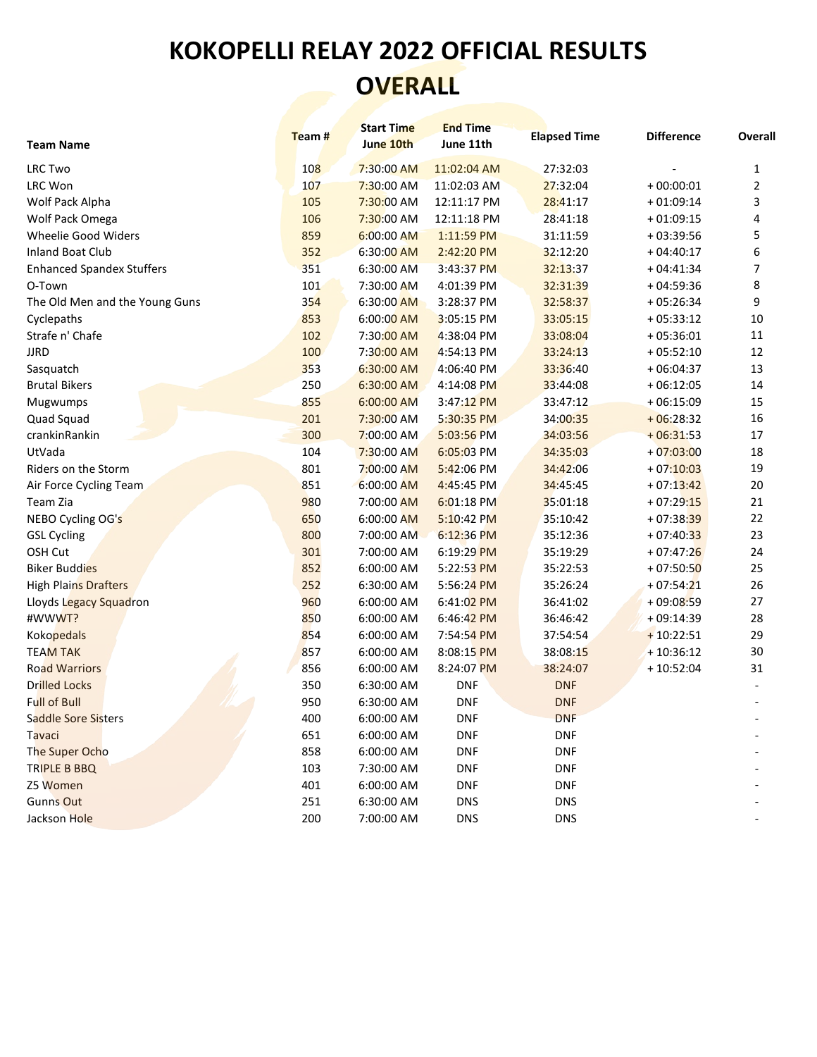## **KOKOPELLI RELAY 2022 OFFICIAL RESULTS OVERALL**

| <b>Team Name</b>                 | Team#      | <b>Start Time</b><br>June 10th | <b>End Time</b><br>June 11th | <b>Elapsed Time</b> | <b>Difference</b> | Overall        |
|----------------------------------|------------|--------------------------------|------------------------------|---------------------|-------------------|----------------|
| <b>LRC Two</b>                   | <b>108</b> | 7:30:00 AM                     | 11:02:04 AM                  | 27:32:03            |                   | 1              |
| LRC Won                          | 107        | 7:30:00 AM                     | 11:02:03 AM                  | 27:32:04            | $+00:00:01$       | $\overline{2}$ |
| Wolf Pack Alpha                  | 105        | 7:30:00 AM                     | 12:11:17 PM                  | 28:41:17            | $+01:09:14$       | 3              |
| Wolf Pack Omega                  | 106        | 7:30:00 AM                     | 12:11:18 PM                  | 28:41:18            | $+01:09:15$       | 4              |
| <b>Wheelie Good Widers</b>       | 859        | 6:00:00 AM                     | 1:11:59 PM                   | 31:11:59            | $+03:39:56$       | 5              |
| <b>Inland Boat Club</b>          | 352        | 6:30:00 AM                     | 2:42:20 PM                   | 32:12:20            | $+04:40:17$       | 6              |
| <b>Enhanced Spandex Stuffers</b> | 351        | 6:30:00 AM                     | 3:43:37 PM                   | 32:13:37            | $+04:41:34$       | 7              |
| O-Town                           | 101        | 7:30:00 AM                     | 4:01:39 PM                   | 32:31:39            | $+04:59:36$       | 8              |
| The Old Men and the Young Guns   | 354        | 6:30:00 AM                     | 3:28:37 PM                   | 32:58:37            | $+05:26:34$       | 9              |
| Cyclepaths                       | 853        | 6:00:00 AM                     | 3:05:15 PM                   | 33:05:15            | $+05:33:12$       | $10\,$         |
| Strafe n' Chafe                  | 102        | 7:30:00 AM                     | 4:38:04 PM                   | 33:08:04            | $+05:36:01$       | 11             |
| <b>JJRD</b>                      | 100        | 7:30:00 AM                     | 4:54:13 PM                   | 33:24:13            | $+05:52:10$       | 12             |
| Sasquatch                        | 353        | 6:30:00 AM                     | 4:06:40 PM                   | 33:36:40            | $+06:04:37$       | 13             |
| <b>Brutal Bikers</b>             | 250        | 6:30:00 AM                     | 4:14:08 PM                   | 33:44:08            | $+06:12:05$       | 14             |
| Mugwumps                         | 855        | 6:00:00 AM                     | 3:47:12 PM                   | 33:47:12            | $+06:15:09$       | 15             |
| Quad Squad                       | 201        | 7:30:00 AM                     | 5:30:35 PM                   | 34:00:35            | $+06:28:32$       | 16             |
| crankinRankin                    | 300        | 7:00:00 AM                     | 5:03:56 PM                   | 34:03:56            | $+06:31:53$       | 17             |
| UtVada                           | 104        | 7:30:00 AM                     | $6:05:03$ PM                 | 34:35:03            | $+07:03:00$       | 18             |
| Riders on the Storm              | 801        | 7:00:00 AM                     | 5:42:06 PM                   | 34:42:06            | $+07:10:03$       | 19             |
| Air Force Cycling Team           | 851        | 6:00:00 AM                     | 4:45:45 PM                   | 34:45:45            | $+07:13:42$       | 20             |
| Team Zia                         | 980        | 7:00:00 AM                     | 6:01:18 PM                   | 35:01:18            | $+07:29:15$       | 21             |
| NEBO Cycling OG's                | 650        | 6:00:00 AM                     | 5:10:42 PM                   | 35:10:42            | $+07:38:39$       | 22             |
| <b>GSL Cycling</b>               | 800        | 7:00:00 AM                     | 6:12:36 PM                   | 35:12:36            | $+07:40:33$       | 23             |
| OSH Cut                          | 301        | 7:00:00 AM                     | 6:19:29 PM                   | 35:19:29            | $+07:47:26$       | 24             |
| <b>Biker Buddies</b>             | 852        | 6:00:00 AM                     | 5:22:53 PM                   | 35:22:53            | $+07:50:50$       | 25             |
| <b>High Plains Drafters</b>      | 252        | 6:30:00 AM                     | 5:56:24 PM                   | 35:26:24            | $+07:54:21$       | 26             |
| Lloyds Legacy Squadron           | 960        | 6:00:00 AM                     | 6:41:02 PM                   | 36:41:02            | $+09:08:59$       | 27             |
| #WWWT?                           | 850        | 6:00:00 AM                     | 6:46:42 PM                   | 36:46:42            | $+09:14:39$       | 28             |
| <b>Kokopedals</b>                | 854        | 6:00:00 AM                     | 7:54:54 PM                   | 37:54:54            | $+10:22:51$       | 29             |
| <b>TEAM TAK</b>                  | 857        | 6:00:00 AM                     | 8:08:15 PM                   | 38:08:15            | $+10:36:12$       | 30             |
| <b>Road Warriors</b>             | 856        | 6:00:00 AM                     | 8:24:07 PM                   | 38:24:07            | $+10:52:04$       | 31             |
| <b>Drilled Locks</b>             | 350        | 6:30:00 AM                     | <b>DNF</b>                   | <b>DNF</b>          |                   |                |
| <b>Full of Bull</b>              | 950        | 6:30:00 AM                     | <b>DNF</b>                   | <b>DNF</b>          |                   |                |
| Saddle Sore Sisters              | 400        | 6:00:00 AM                     | <b>DNF</b>                   | <b>DNF</b>          |                   |                |
| Tavaci                           | 651        | 6:00:00 AM                     | <b>DNF</b>                   | <b>DNF</b>          |                   |                |
| The Super Ocho                   | 858        | 6:00:00 AM                     | <b>DNF</b>                   | <b>DNF</b>          |                   |                |
| TRIPLE B BBQ                     | 103        | 7:30:00 AM                     | <b>DNF</b>                   | <b>DNF</b>          |                   |                |
| Z5 Women                         | 401        | 6:00:00 AM                     | <b>DNF</b>                   | <b>DNF</b>          |                   |                |
| Gunns Out                        | 251        | 6:30:00 AM                     | <b>DNS</b>                   | <b>DNS</b>          |                   |                |
| Jackson Hole                     | 200        | 7:00:00 AM                     | <b>DNS</b>                   | <b>DNS</b>          |                   |                |